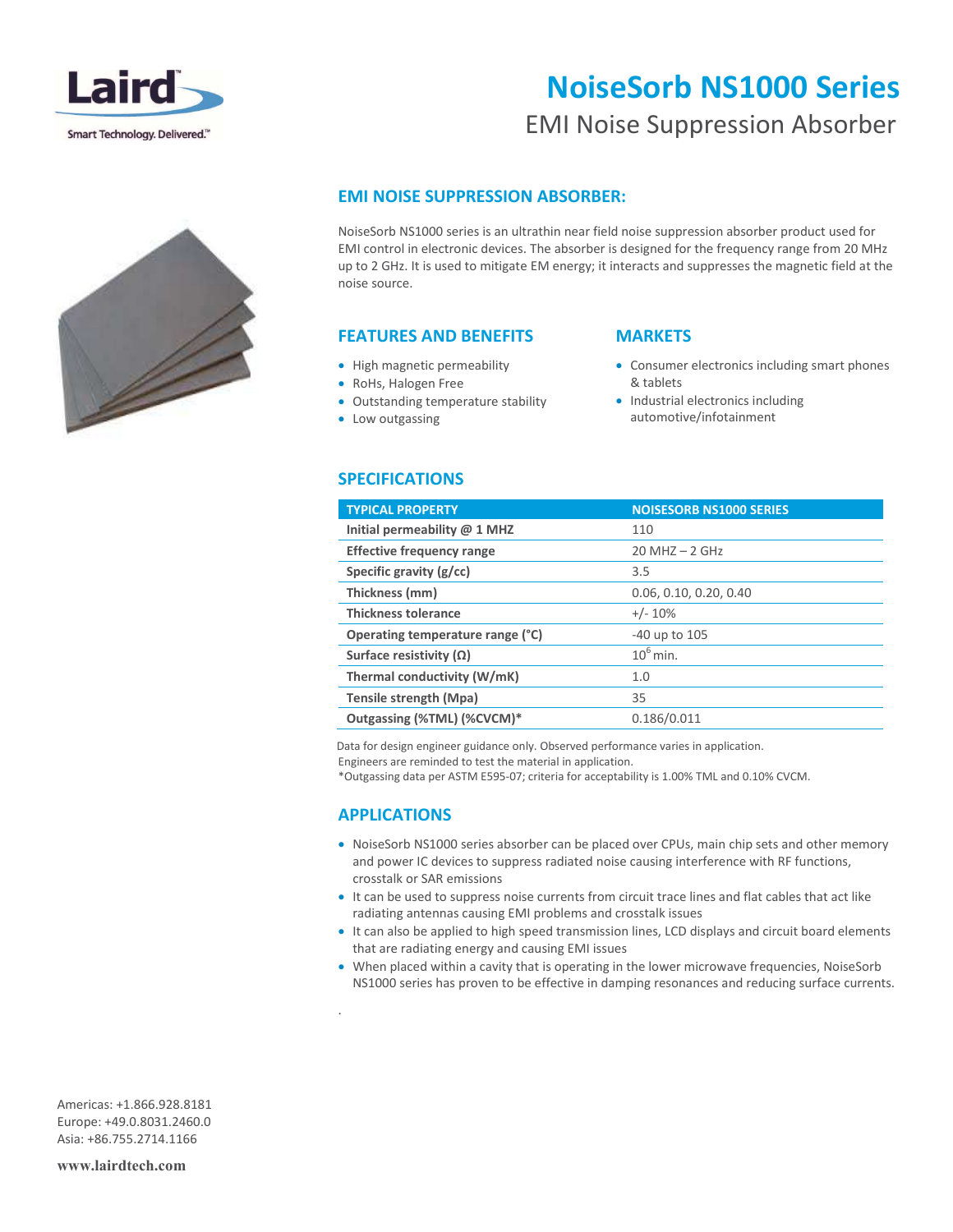

# **NoiseSorb NS1000 Series**

# EMI Noise Suppression Absorber



## **EMI NOISE SUPPRESSION ABSORBER:**

NoiseSorb NS1000 series is an ultrathin near field noise suppression absorber product used for EMI control in electronic devices. The absorber is designed for the frequency range from 20 MHz up to 2 GHz. It is used to mitigate EM energy; it interacts and suppresses the magnetic field at the noise source.

#### **FEATURES AND BENEFITS**

- High magnetic permeability
- RoHs, Halogen Free
- Outstanding temperature stability
- Low outgassing

#### **MARKETS**

- Consumer electronics including smart phones & tablets
- Industrial electronics including automotive/infotainment

#### **SPECIFICATIONS**

| <b>TYPICAL PROPERTY</b>          | <b>NOISESORB NS1000 SERIES</b> |
|----------------------------------|--------------------------------|
| Initial permeability $@$ 1 MHZ   | 110                            |
| <b>Effective frequency range</b> | $20$ MHZ $- 2$ GHz             |
| Specific gravity $(g/cc)$        | 3.5                            |
| Thickness (mm)                   | 0.06, 0.10, 0.20, 0.40         |
| <b>Thickness tolerance</b>       | $+/- 10\%$                     |
| Operating temperature range (°C) | -40 up to 105                  |
| Surface resistivity $(\Omega)$   | $10^6$ min.                    |
| Thermal conductivity (W/mK)      | 1.0                            |
| Tensile strength (Mpa)           | 35                             |
| Outgassing (%TML) (%CVCM)*       | 0.186/0.011                    |
|                                  |                                |

Data for design engineer guidance only. Observed performance varies in application.

Engineers are reminded to test the material in application.

\*Outgassing data per ASTM E595-07; criteria for acceptability is 1.00% TML and 0.10% CVCM.

## **APPLICATIONS**

.

- NoiseSorb NS1000 series absorber can be placed over CPUs, main chip sets and other memory and power IC devices to suppress radiated noise causing interference with RF functions, crosstalk or SAR emissions
- It can be used to suppress noise currents from circuit trace lines and flat cables that act like radiating antennas causing EMI problems and crosstalk issues
- It can also be applied to high speed transmission lines, LCD displays and circuit board elements that are radiating energy and causing EMI issues
- When placed within a cavity that is operating in the lower microwave frequencies, NoiseSorb NS1000 series has proven to be effective in damping resonances and reducing surface currents.

Americas: +1.866.928.8181 Europe: +49.0.8031.2460.0 Asia: +86.755.2714.1166

**www.lairdtech.com**